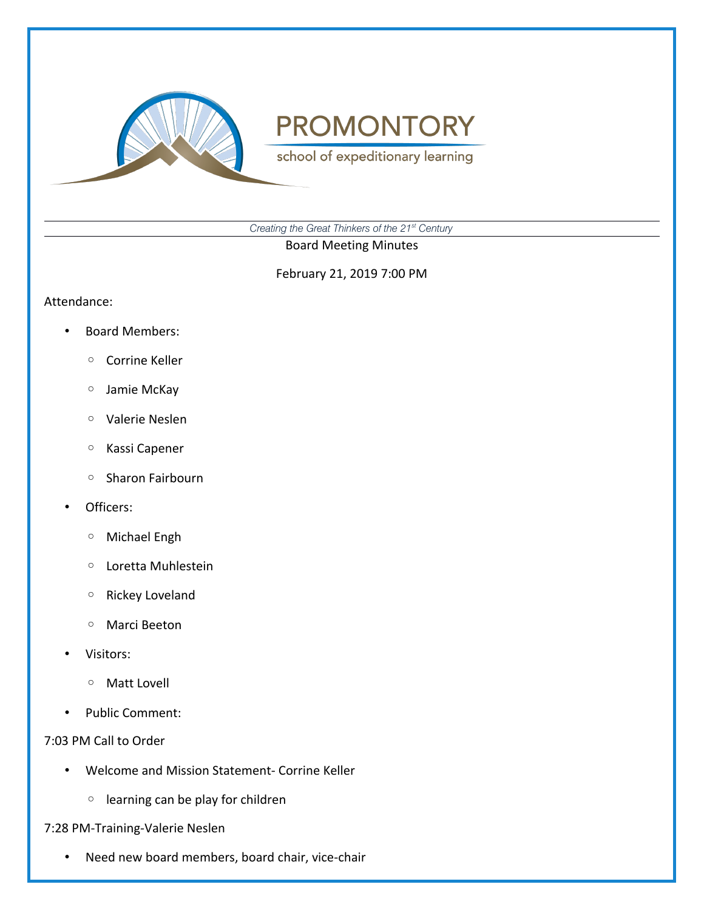

school of expeditionary learning

*Creating the Great Thinkers of the 21st Century*

Board Meeting Minutes

February 21, 2019 7:00 PM

#### Attendance:

- Board Members:
	- Corrine Keller
	- Jamie McKay
	- Valerie Neslen
	- Kassi Capener
	- Sharon Fairbourn
- Officers:
	- Michael Engh
	- Loretta Muhlestein
	- Rickey Loveland
	- Marci Beeton
- Visitors:
	- Matt Lovell
- Public Comment:

### 7:03 PM Call to Order

- Welcome and Mission Statement- Corrine Keller
	- learning can be play for children

## 7:28 PM-Training-Valerie Neslen

• Need new board members, board chair, vice-chair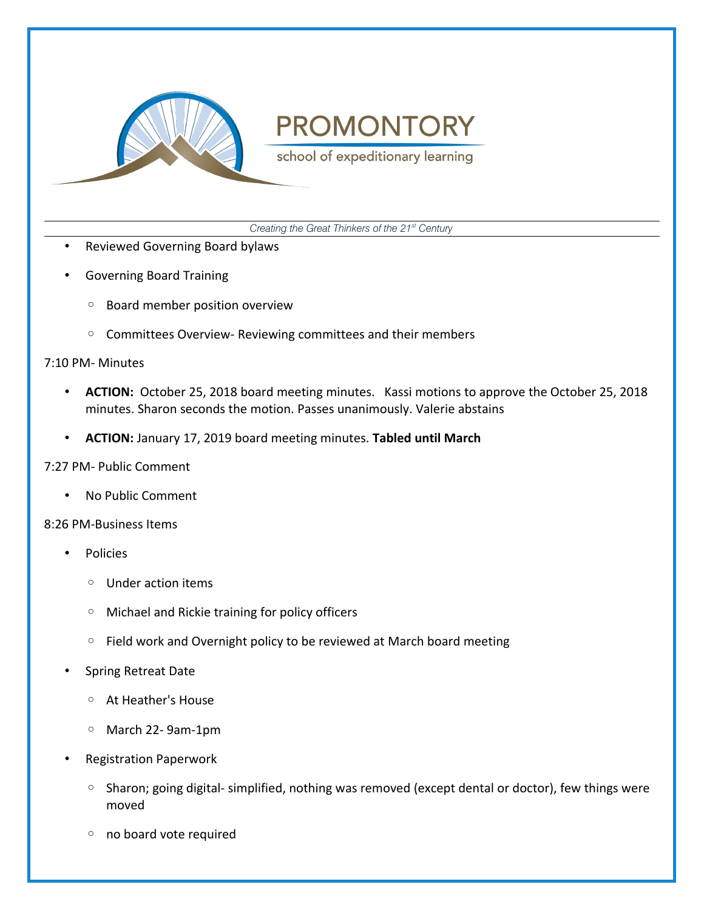

school of expeditionary learning

*Creating the Great Thinkers of the 21st Century*

- Reviewed Governing Board bylaws
- Governing Board Training
	- Board member position overview
	- Committees Overview- Reviewing committees and their members

### 7:10 PM- Minutes

- **ACTION:** October 25, 2018 board meeting minutes. Kassi motions to approve the October 25, 2018 minutes. Sharon seconds the motion. Passes unanimously. Valerie abstains
- **ACTION:** January 17, 2019 board meeting minutes. **Tabled until March**

## 7:27 PM- Public Comment

• No Public Comment

### 8:26 PM-Business Items

- **Policies** 
	- Under action items
	- Michael and Rickie training for policy officers
	- Field work and Overnight policy to be reviewed at March board meeting
- Spring Retreat Date
	- At Heather's House
	- March 22- 9am-1pm
- Registration Paperwork
	- Sharon; going digital- simplified, nothing was removed (except dental or doctor), few things were moved
	- no board vote required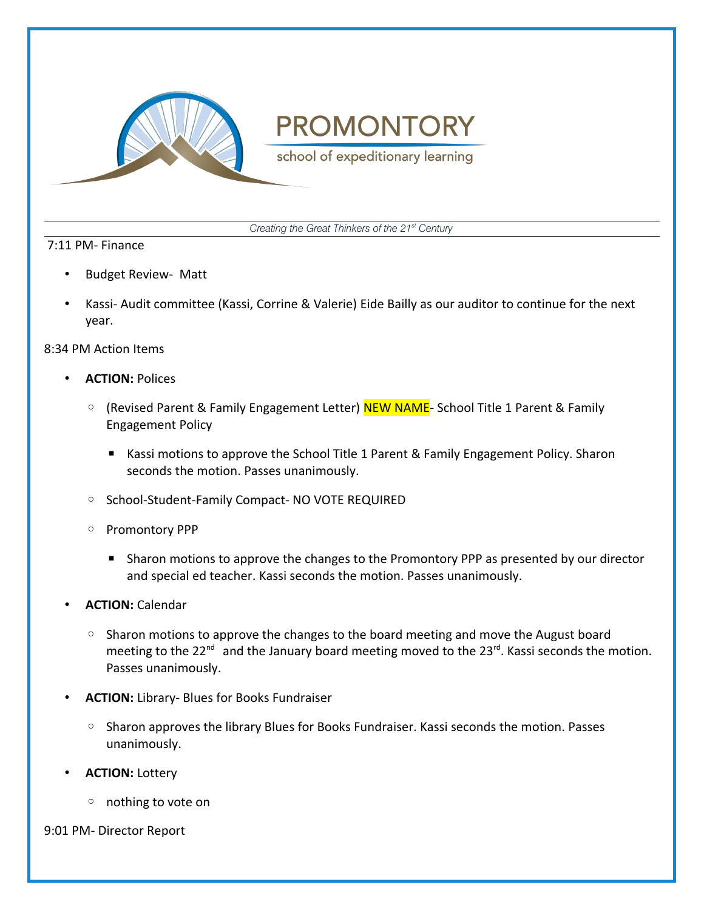

school of expeditionary learning

*Creating the Great Thinkers of the 21st Century*

### 7:11 PM- Finance

- Budget Review- Matt
- Kassi- Audit committee (Kassi, Corrine & Valerie) Eide Bailly as our auditor to continue for the next year.

### 8:34 PM Action Items

- **ACTION:** Polices
	- (Revised Parent & Family Engagement Letter) NEW NAME- School Title 1 Parent & Family Engagement Policy
		- Kassi motions to approve the School Title 1 Parent & Family Engagement Policy. Sharon seconds the motion. Passes unanimously.
	- School-Student-Family Compact- NO VOTE REQUIRED
	- Promontory PPP
		- Sharon motions to approve the changes to the Promontory PPP as presented by our director and special ed teacher. Kassi seconds the motion. Passes unanimously.
- **ACTION:** Calendar
	- Sharon motions to approve the changes to the board meeting and move the August board meeting to the  $22^{nd}$  and the January board meeting moved to the  $23^{rd}$ . Kassi seconds the motion. Passes unanimously.
- **ACTION:** Library- Blues for Books Fundraiser
	- Sharon approves the library Blues for Books Fundraiser. Kassi seconds the motion. Passes unanimously.
- **ACTION:** Lottery
	- nothing to vote on

9:01 PM- Director Report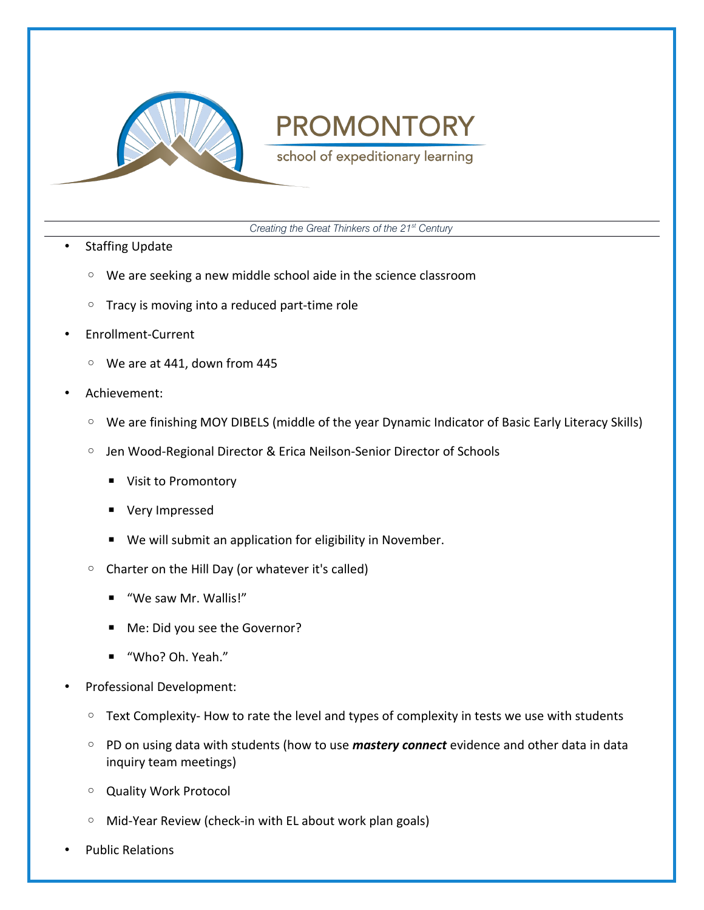

school of expeditionary learning

*Creating the Great Thinkers of the 21st Century*

- Staffing Update
	- We are seeking a new middle school aide in the science classroom
	- Tracy is moving into a reduced part-time role
- Enrollment-Current
	- We are at 441, down from 445
- Achievement:
	- We are finishing MOY DIBELS (middle of the year Dynamic Indicator of Basic Early Literacy Skills)
	- Jen Wood-Regional Director & Erica Neilson-Senior Director of Schools
		- Visit to Promontory
		- Very Impressed
		- We will submit an application for eligibility in November.
	- Charter on the Hill Day (or whatever it's called)
		- "We saw Mr. Wallis!"
		- Me: Did you see the Governor?
		- "Who? Oh. Yeah."
- Professional Development:
	- Text Complexity- How to rate the level and types of complexity in tests we use with students
	- PD on using data with students (how to use *mastery connect* evidence and other data in data inquiry team meetings)
	- Quality Work Protocol
	- Mid-Year Review (check-in with EL about work plan goals)
- Public Relations